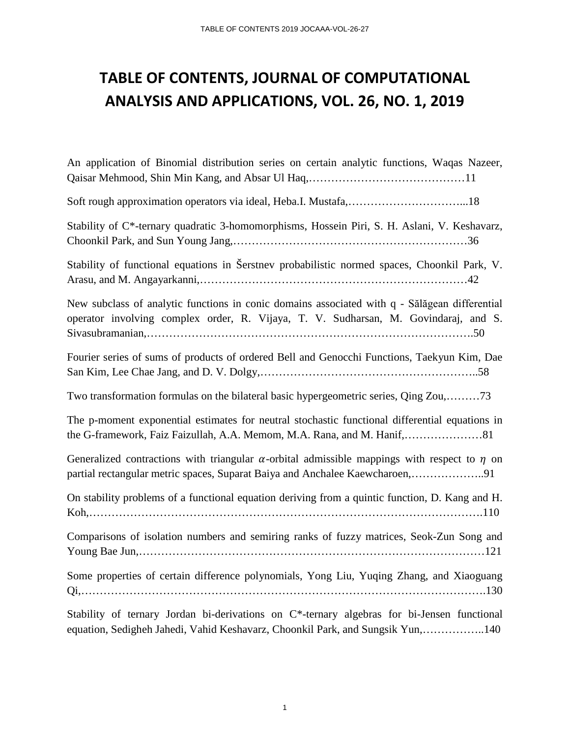### **TABLE OF CONTENTS, JOURNAL OF COMPUTATIONAL ANALYSIS AND APPLICATIONS, VOL. 26, NO. 1, 2019**

| An application of Binomial distribution series on certain analytic functions, Waqas Nazeer,                                                                                              |
|------------------------------------------------------------------------------------------------------------------------------------------------------------------------------------------|
|                                                                                                                                                                                          |
| Stability of C*-ternary quadratic 3-homomorphisms, Hossein Piri, S. H. Aslani, V. Keshavarz,                                                                                             |
| Stability of functional equations in Šerstnev probabilistic normed spaces, Choonkil Park, V.                                                                                             |
| New subclass of analytic functions in conic domains associated with q - Sălăgean differential<br>operator involving complex order, R. Vijaya, T. V. Sudharsan, M. Govindaraj, and S.     |
| Fourier series of sums of products of ordered Bell and Genocchi Functions, Taekyun Kim, Dae                                                                                              |
| Two transformation formulas on the bilateral basic hypergeometric series, Qing Zou,73                                                                                                    |
| The p-moment exponential estimates for neutral stochastic functional differential equations in                                                                                           |
| Generalized contractions with triangular $\alpha$ -orbital admissible mappings with respect to $\eta$ on<br>partial rectangular metric spaces, Suparat Baiya and Anchalee Kaewcharoen,91 |
| On stability problems of a functional equation deriving from a quintic function, D. Kang and H.                                                                                          |
| Comparisons of isolation numbers and semiring ranks of fuzzy matrices, Seok-Zun Song and                                                                                                 |
| Some properties of certain difference polynomials, Yong Liu, Yuqing Zhang, and Xiaoguang                                                                                                 |
| Stability of ternary Jordan bi-derivations on C*-ternary algebras for bi-Jensen functional<br>equation, Sedigheh Jahedi, Vahid Keshavarz, Choonkil Park, and Sungsik Yun,140             |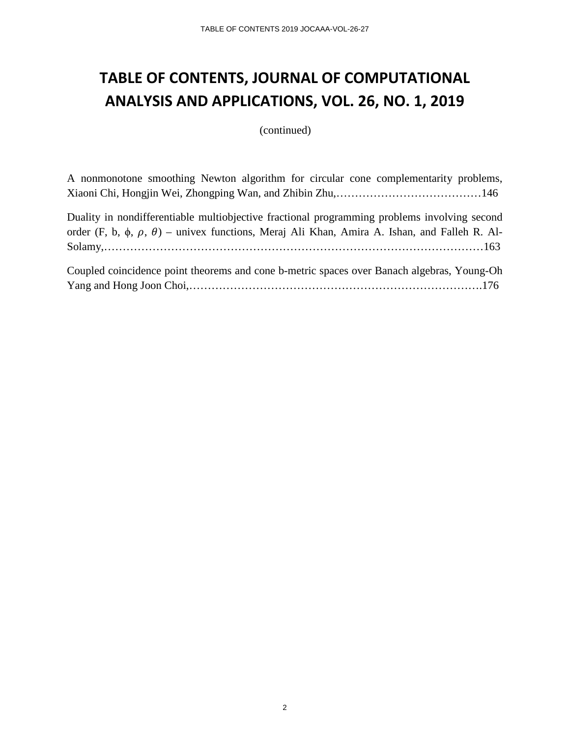### **TABLE OF CONTENTS, JOURNAL OF COMPUTATIONAL ANALYSIS AND APPLICATIONS, VOL. 26, NO. 1, 2019**

(continued)

A nonmonotone smoothing Newton algorithm for circular cone complementarity problems, Xiaoni Chi, Hongjin Wei, Zhongping Wan, and Zhibin Zhu,…………………………………146

Duality in nondifferentiable multiobjective fractional programming problems involving second order (F, b,  $\phi$ ,  $\beta$ ) – univex functions, Meraj Ali Khan, Amira A. Ishan, and Falleh R. Al-Solamy,…………………………………………………………………………………………163

| Coupled coincidence point theorems and cone b-metric spaces over Banach algebras, Young-Oh |  |  |  |  |
|--------------------------------------------------------------------------------------------|--|--|--|--|
|                                                                                            |  |  |  |  |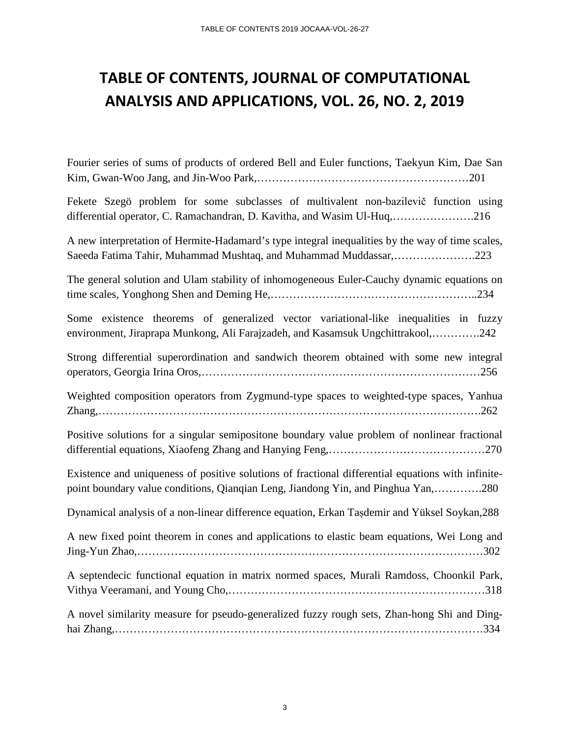#### **TABLE OF CONTENTS, JOURNAL OF COMPUTATIONAL ANALYSIS AND APPLICATIONS, VOL. 26, NO. 2, 2019**

Fourier series of sums of products of ordered Bell and Euler functions, Taekyun Kim, Dae San Kim, Gwan-Woo Jang, and Jin-Woo Park,…………………………………………………201

Fekete Szegö problem for some subclasses of multivalent non-bazilevič function using differential operator, C. Ramachandran, D. Kavitha, and Wasim Ul-Huq,………………….216

A new interpretation of Hermite-Hadamard's type integral inequalities by the way of time scales, Saeeda Fatima Tahir, Muhammad Mushtaq, and Muhammad Muddassar,………………….223

The general solution and Ulam stability of inhomogeneous Euler-Cauchy dynamic equations on time scales, Yonghong Shen and Deming He,………………………………………………..234

Some existence theorems of generalized vector variational-like inequalities in fuzzy environment, Jiraprapa Munkong, Ali Farajzadeh, and Kasamsuk Ungchittrakool,………….242

Strong differential superordination and sandwich theorem obtained with some new integral operators, Georgia Irina Oros,…………………………………………………………………256

Weighted composition operators from Zygmund-type spaces to weighted-type spaces, Yanhua Zhang,………………………………………………………………………………………….262

Positive solutions for a singular semipositone boundary value problem of nonlinear fractional differential equations, Xiaofeng Zhang and Hanying Feng,……………………………………270

Existence and uniqueness of positive solutions of fractional differential equations with infinitepoint boundary value conditions, Qianqian Leng, Jiandong Yin, and Pinghua Yan,………….280

Dynamical analysis of a non-linear difference equation, Erkan Tașdemir and Yüksel Soykan,288

A new fixed point theorem in cones and applications to elastic beam equations, Wei Long and Jing-Yun Zhao,…………………………………………………………………………………302

A septendecic functional equation in matrix normed spaces, Murali Ramdoss, Choonkil Park, Vithya Veeramani, and Young Cho,……………………………………………………………318

A novel similarity measure for pseudo-generalized fuzzy rough sets, Zhan-hong Shi and Dinghai Zhang,………………………………………………………………………………………334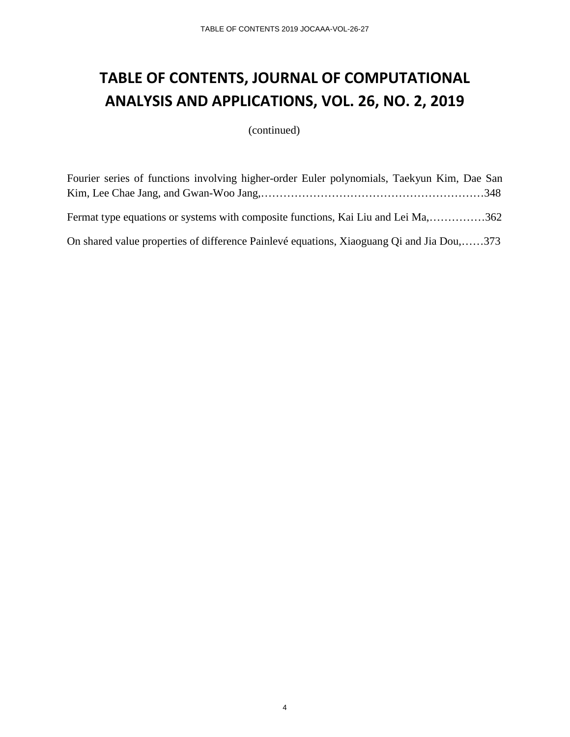# **TABLE OF CONTENTS, JOURNAL OF COMPUTATIONAL ANALYSIS AND APPLICATIONS, VOL. 26, NO. 2, 2019**

(continued)

| Fourier series of functions involving higher-order Euler polynomials, Taekyun Kim, Dae San |  |
|--------------------------------------------------------------------------------------------|--|
|                                                                                            |  |
|                                                                                            |  |
| Fermat type equations or systems with composite functions, Kai Liu and Lei Ma,362          |  |
|                                                                                            |  |
| On shared value properties of difference Painlevé equations, Xiaoguang Qi and Jia Dou,373  |  |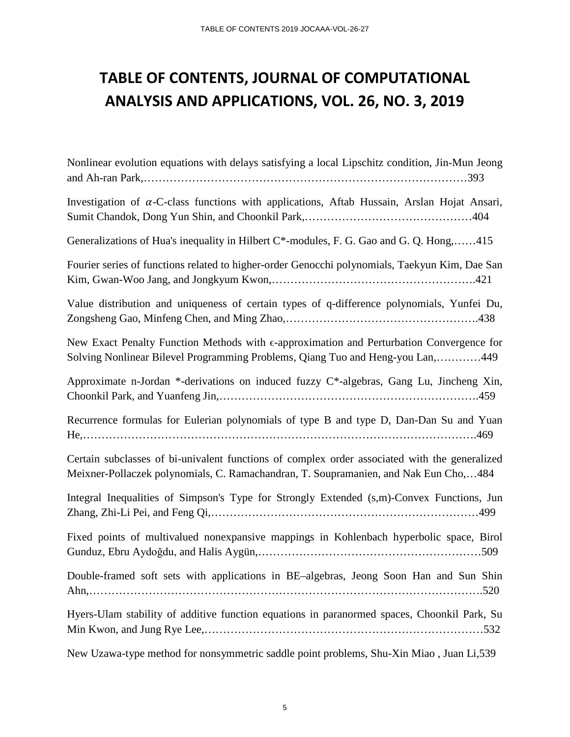### **TABLE OF CONTENTS, JOURNAL OF COMPUTATIONAL ANALYSIS AND APPLICATIONS, VOL. 26, NO. 3, 2019**

| Nonlinear evolution equations with delays satisfying a local Lipschitz condition, Jin-Mun Jeong                                                                                       |
|---------------------------------------------------------------------------------------------------------------------------------------------------------------------------------------|
| Investigation of $\alpha$ -C-class functions with applications, Aftab Hussain, Arslan Hojat Ansari,                                                                                   |
| Generalizations of Hua's inequality in Hilbert C*-modules, F. G. Gao and G. Q. Hong,415                                                                                               |
| Fourier series of functions related to higher-order Genocchi polynomials, Taekyun Kim, Dae San                                                                                        |
| Value distribution and uniqueness of certain types of q-difference polynomials, Yunfei Du,                                                                                            |
| New Exact Penalty Function Methods with $\epsilon$ -approximation and Perturbation Convergence for<br>Solving Nonlinear Bilevel Programming Problems, Qiang Tuo and Heng-you Lan,449  |
| Approximate n-Jordan *-derivations on induced fuzzy C*-algebras, Gang Lu, Jincheng Xin,                                                                                               |
| Recurrence formulas for Eulerian polynomials of type B and type D, Dan-Dan Su and Yuan                                                                                                |
| Certain subclasses of bi-univalent functions of complex order associated with the generalized<br>Meixner-Pollaczek polynomials, C. Ramachandran, T. Soupramanien, and Nak Eun Cho,484 |
| Integral Inequalities of Simpson's Type for Strongly Extended (s,m)-Convex Functions, Jun                                                                                             |
| Fixed points of multivalued nonexpansive mappings in Kohlenbach hyperbolic space, Birol                                                                                               |
| Double-framed soft sets with applications in BE-algebras, Jeong Soon Han and Sun Shin                                                                                                 |
| Hyers-Ulam stability of additive function equations in paranormed spaces, Choonkil Park, Su                                                                                           |
| New Uzawa-type method for nonsymmetric saddle point problems, Shu-Xin Miao, Juan Li,539                                                                                               |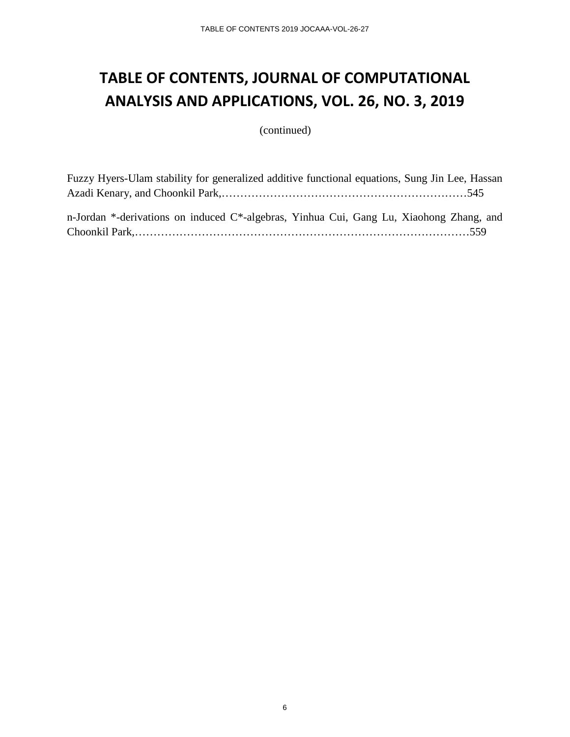## **TABLE OF CONTENTS, JOURNAL OF COMPUTATIONAL ANALYSIS AND APPLICATIONS, VOL. 26, NO. 3, 2019**

(continued)

| Fuzzy Hyers-Ulam stability for generalized additive functional equations, Sung Jin Lee, Hassan |  |
|------------------------------------------------------------------------------------------------|--|
|                                                                                                |  |
|                                                                                                |  |
| n-Jordan *-derivations on induced C*-algebras, Yinhua Cui, Gang Lu, Xiaohong Zhang, and        |  |
|                                                                                                |  |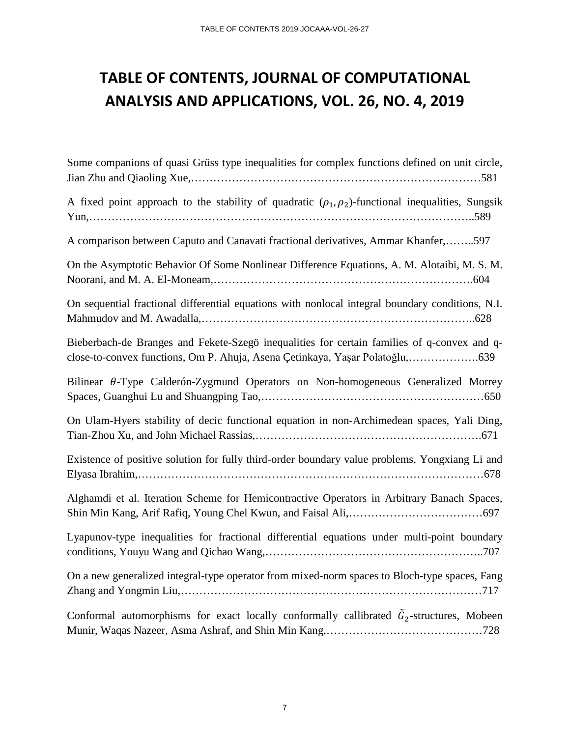# **TABLE OF CONTENTS, JOURNAL OF COMPUTATIONAL ANALYSIS AND APPLICATIONS, VOL. 26, NO. 4, 2019**

| Some companions of quasi Grüss type inequalities for complex functions defined on unit circle,                                                                              |
|-----------------------------------------------------------------------------------------------------------------------------------------------------------------------------|
| A fixed point approach to the stability of quadratic $(\rho_1, \rho_2)$ -functional inequalities, Sungsik                                                                   |
| A comparison between Caputo and Canavati fractional derivatives, Ammar Khanfer,597                                                                                          |
| On the Asymptotic Behavior Of Some Nonlinear Difference Equations, A. M. Alotaibi, M. S. M.                                                                                 |
| On sequential fractional differential equations with nonlocal integral boundary conditions, N.I.                                                                            |
| Bieberbach-de Branges and Fekete-Szegö inequalities for certain families of q-convex and q-<br>close-to-convex functions, Om P. Ahuja, Asena Çetinkaya, Yaşar Polatoğlu,639 |
| Bilinear $\theta$ -Type Calderón-Zygmund Operators on Non-homogeneous Generalized Morrey                                                                                    |
| On Ulam-Hyers stability of decic functional equation in non-Archimedean spaces, Yali Ding,                                                                                  |
| Existence of positive solution for fully third-order boundary value problems, Yongxiang Li and                                                                              |
| Alghamdi et al. Iteration Scheme for Hemicontractive Operators in Arbitrary Banach Spaces,                                                                                  |
| Lyapunov-type inequalities for fractional differential equations under multi-point boundary                                                                                 |
| On a new generalized integral-type operator from mixed-norm spaces to Bloch-type spaces, Fang                                                                               |
| Conformal automorphisms for exact locally conformally callibrated $\tilde{G}_2$ -structures, Mobeen                                                                         |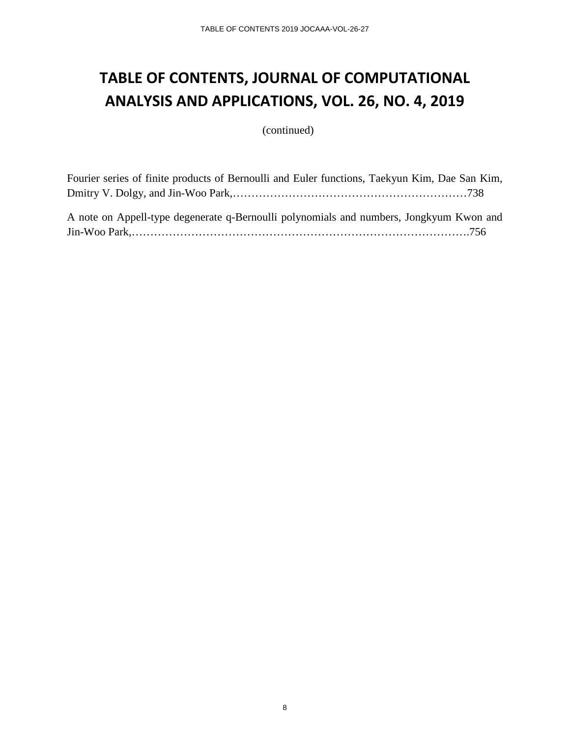## **TABLE OF CONTENTS, JOURNAL OF COMPUTATIONAL ANALYSIS AND APPLICATIONS, VOL. 26, NO. 4, 2019**

(continued)

Fourier series of finite products of Bernoulli and Euler functions, Taekyun Kim, Dae San Kim, Dmitry V. Dolgy, and Jin-Woo Park,………………………………………………………738 A note on Appell-type degenerate q-Bernoulli polynomials and numbers, Jongkyum Kwon and Jin-Woo Park,……………………………………………………………………………….756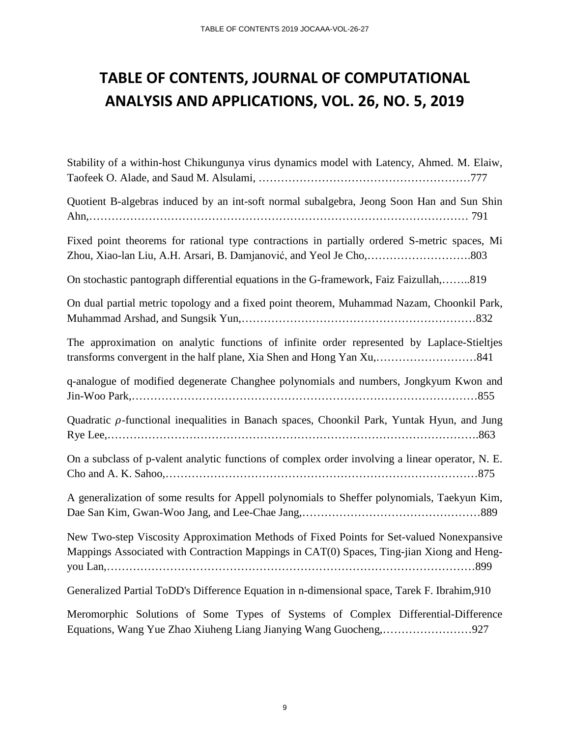## **TABLE OF CONTENTS, JOURNAL OF COMPUTATIONAL ANALYSIS AND APPLICATIONS, VOL. 26, NO. 5, 2019**

| Stability of a within-host Chikungunya virus dynamics model with Latency, Ahmed. M. Elaiw,                                                                                            |
|---------------------------------------------------------------------------------------------------------------------------------------------------------------------------------------|
| Quotient B-algebras induced by an int-soft normal subalgebra, Jeong Soon Han and Sun Shin                                                                                             |
| Fixed point theorems for rational type contractions in partially ordered S-metric spaces, Mi                                                                                          |
| On stochastic pantograph differential equations in the G-framework, Faiz Faizullah,819                                                                                                |
| On dual partial metric topology and a fixed point theorem, Muhammad Nazam, Choonkil Park,                                                                                             |
| The approximation on analytic functions of infinite order represented by Laplace-Stieltjes                                                                                            |
| q-analogue of modified degenerate Changhee polynomials and numbers, Jongkyum Kwon and                                                                                                 |
| Quadratic p-functional inequalities in Banach spaces, Choonkil Park, Yuntak Hyun, and Jung                                                                                            |
| On a subclass of p-valent analytic functions of complex order involving a linear operator, N. E.                                                                                      |
| A generalization of some results for Appell polynomials to Sheffer polynomials, Taekyun Kim,                                                                                          |
| New Two-step Viscosity Approximation Methods of Fixed Points for Set-valued Nonexpansive<br>Mappings Associated with Contraction Mappings in CAT(0) Spaces, Ting-jian Xiong and Heng- |
| Generalized Partial ToDD's Difference Equation in n-dimensional space, Tarek F. Ibrahim, 910                                                                                          |
| Monomorphic Solutions of Same Types of Systems of Complex Differential Difference                                                                                                     |

Meromorphic Solutions of Some Types of Systems of Complex Differential-Difference Equations, Wang Yue Zhao Xiuheng Liang Jianying Wang Guocheng,……………………927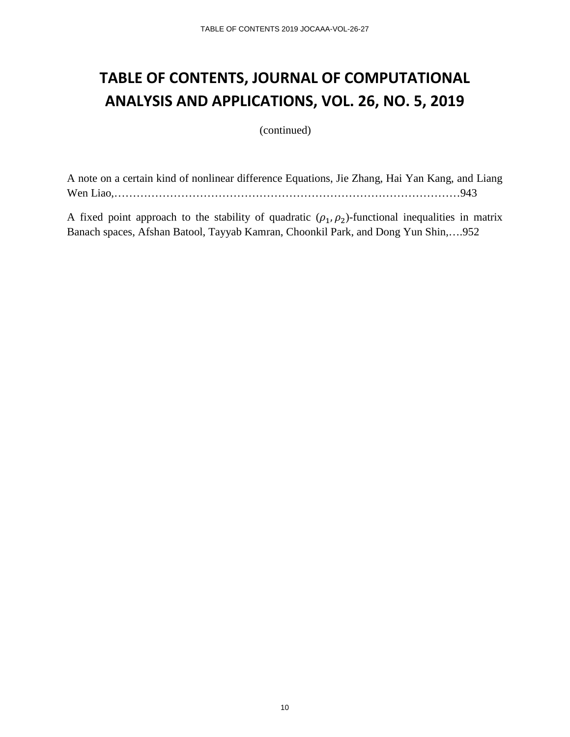### **TABLE OF CONTENTS, JOURNAL OF COMPUTATIONAL ANALYSIS AND APPLICATIONS, VOL. 26, NO. 5, 2019**

(continued)

A note on a certain kind of nonlinear difference Equations, Jie Zhang, Hai Yan Kang, and Liang Wen Liao,…………………………………………………………………………………943

A fixed point approach to the stability of quadratic  $(\rho_1, \rho_2)$ -functional inequalities in matrix Banach spaces, Afshan Batool, Tayyab Kamran, Choonkil Park, and Dong Yun Shin,….952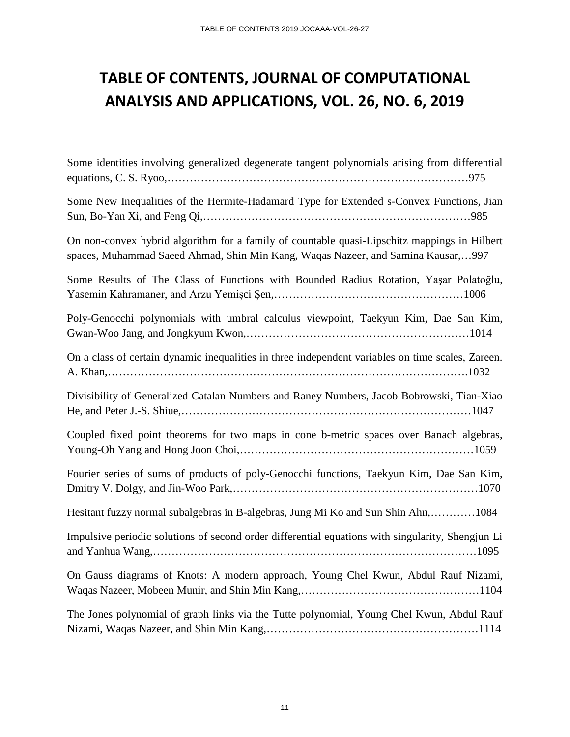# **TABLE OF CONTENTS, JOURNAL OF COMPUTATIONAL ANALYSIS AND APPLICATIONS, VOL. 26, NO. 6, 2019**

| Some identities involving generalized degenerate tangent polynomials arising from differential                                                                                   |
|----------------------------------------------------------------------------------------------------------------------------------------------------------------------------------|
| Some New Inequalities of the Hermite-Hadamard Type for Extended s-Convex Functions, Jian                                                                                         |
| On non-convex hybrid algorithm for a family of countable quasi-Lipschitz mappings in Hilbert<br>spaces, Muhammad Saeed Ahmad, Shin Min Kang, Waqas Nazeer, and Samina Kausar,997 |
| Some Results of The Class of Functions with Bounded Radius Rotation, Yaşar Polatoğlu,                                                                                            |
| Poly-Genocchi polynomials with umbral calculus viewpoint, Taekyun Kim, Dae San Kim,                                                                                              |
| On a class of certain dynamic inequalities in three independent variables on time scales, Zareen.                                                                                |
| Divisibility of Generalized Catalan Numbers and Raney Numbers, Jacob Bobrowski, Tian-Xiao                                                                                        |
| Coupled fixed point theorems for two maps in cone b-metric spaces over Banach algebras,                                                                                          |
| Fourier series of sums of products of poly-Genocchi functions, Taekyun Kim, Dae San Kim,                                                                                         |
| Hesitant fuzzy normal subalgebras in B-algebras, Jung Mi Ko and Sun Shin Ahn,1084                                                                                                |
| Impulsive periodic solutions of second order differential equations with singularity, Shengjun Li                                                                                |
| On Gauss diagrams of Knots: A modern approach, Young Chel Kwun, Abdul Rauf Nizami,                                                                                               |
| The Jones polynomial of graph links via the Tutte polynomial, Young Chel Kwun, Abdul Rauf                                                                                        |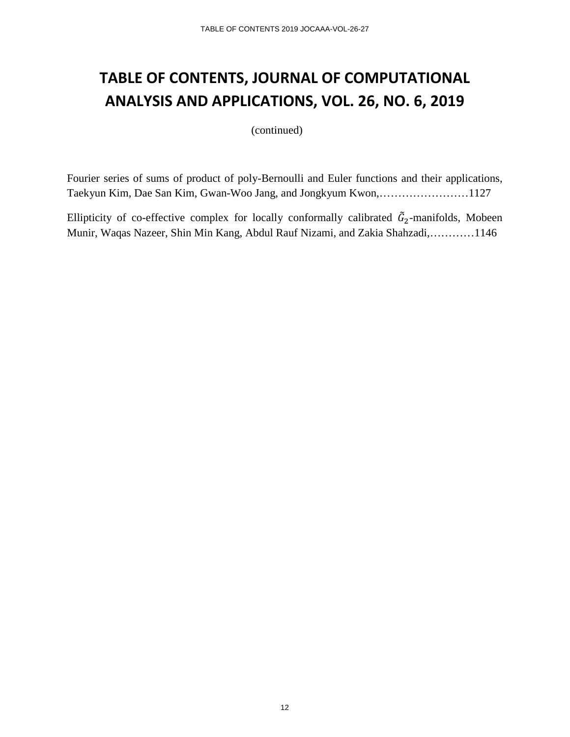#### **TABLE OF CONTENTS, JOURNAL OF COMPUTATIONAL ANALYSIS AND APPLICATIONS, VOL. 26, NO. 6, 2019**

(continued)

Fourier series of sums of product of poly-Bernoulli and Euler functions and their applications, Taekyun Kim, Dae San Kim, Gwan-Woo Jang, and Jongkyum Kwon,……………………1127

Ellipticity of co-effective complex for locally conformally calibrated  $\hat{G}_2$ -manifolds, Mobeen Munir, Waqas Nazeer, Shin Min Kang, Abdul Rauf Nizami, and Zakia Shahzadi,…………1146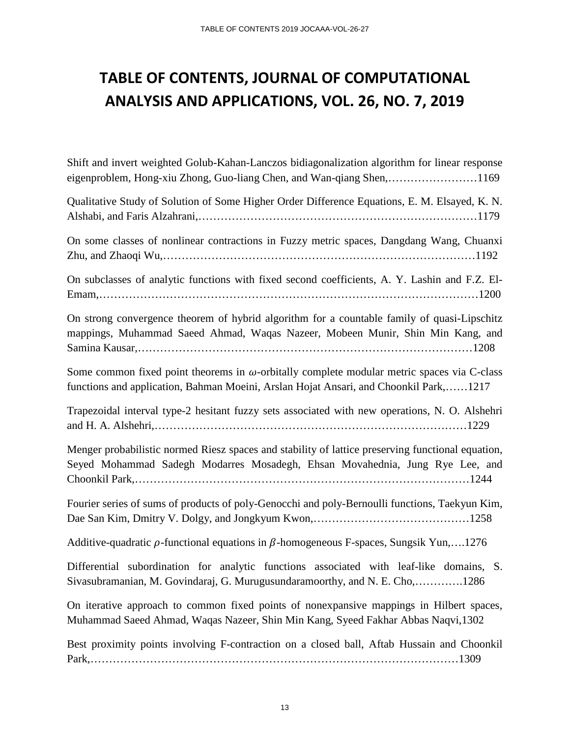# **TABLE OF CONTENTS, JOURNAL OF COMPUTATIONAL ANALYSIS AND APPLICATIONS, VOL. 26, NO. 7, 2019**

| Shift and invert weighted Golub-Kahan-Lanczos bidiagonalization algorithm for linear response<br>eigenproblem, Hong-xiu Zhong, Guo-liang Chen, and Wan-qiang Shen,1169                      |
|---------------------------------------------------------------------------------------------------------------------------------------------------------------------------------------------|
| Qualitative Study of Solution of Some Higher Order Difference Equations, E. M. Elsayed, K. N.                                                                                               |
| On some classes of nonlinear contractions in Fuzzy metric spaces, Dangdang Wang, Chuanxi                                                                                                    |
| On subclasses of analytic functions with fixed second coefficients, A. Y. Lashin and F.Z. El-                                                                                               |
| On strong convergence theorem of hybrid algorithm for a countable family of quasi-Lipschitz<br>mappings, Muhammad Saeed Ahmad, Waqas Nazeer, Mobeen Munir, Shin Min Kang, and               |
| Some common fixed point theorems in $\omega$ -orbitally complete modular metric spaces via C-class<br>functions and application, Bahman Moeini, Arslan Hojat Ansari, and Choonkil Park,1217 |
| Trapezoidal interval type-2 hesitant fuzzy sets associated with new operations, N. O. Alshehri                                                                                              |
| Menger probabilistic normed Riesz spaces and stability of lattice preserving functional equation,<br>Seyed Mohammad Sadegh Modarres Mosadegh, Ehsan Movahednia, Jung Rye Lee, and           |
| Fourier series of sums of products of poly-Genocchi and poly-Bernoulli functions, Taekyun Kim,                                                                                              |
| Additive-quadratic $\rho$ -functional equations in $\beta$ -homogeneous F-spaces, Sungsik Yun,1276                                                                                          |
| Differential subordination for analytic functions associated with leaf-like domains, S.<br>Sivasubramanian, M. Govindaraj, G. Murugusundaramoorthy, and N. E. Cho,1286                      |
| On iterative approach to common fixed points of nonexpansive mappings in Hilbert spaces,<br>Muhammad Saeed Ahmad, Waqas Nazeer, Shin Min Kang, Syeed Fakhar Abbas Naqvi, 1302               |
| Best proximity points involving F-contraction on a closed ball, Aftab Hussain and Choonkil                                                                                                  |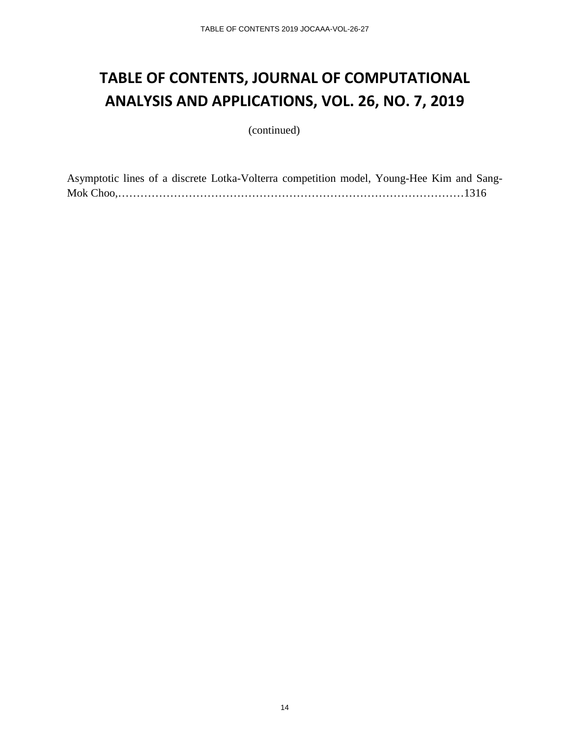### **TABLE OF CONTENTS, JOURNAL OF COMPUTATIONAL ANALYSIS AND APPLICATIONS, VOL. 26, NO. 7, 2019**

(continued)

Asymptotic lines of a discrete Lotka-Volterra competition model, Young-Hee Kim and Sang-Mok Choo,…………………………………………………………………………………1316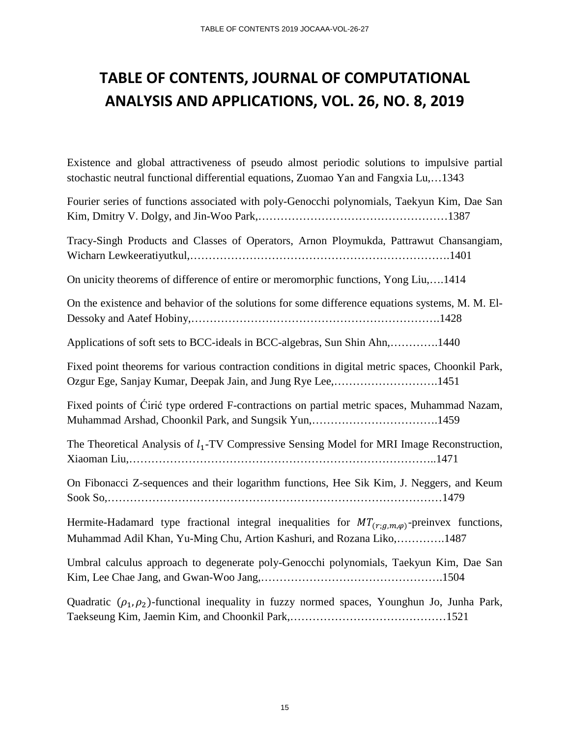### **TABLE OF CONTENTS, JOURNAL OF COMPUTATIONAL ANALYSIS AND APPLICATIONS, VOL. 26, NO. 8, 2019**

Existence and global attractiveness of pseudo almost periodic solutions to impulsive partial stochastic neutral functional differential equations, Zuomao Yan and Fangxia Lu,…1343

| Fourier series of functions associated with poly-Genocchi polynomials, Taekyun Kim, Dae San                                                                                     |
|---------------------------------------------------------------------------------------------------------------------------------------------------------------------------------|
| Tracy-Singh Products and Classes of Operators, Arnon Ploymukda, Pattrawut Chansangiam,                                                                                          |
| On unicity theorems of difference of entire or meromorphic functions, Yong Liu,1414                                                                                             |
| On the existence and behavior of the solutions for some difference equations systems, M. M. El-                                                                                 |
| Applications of soft sets to BCC-ideals in BCC-algebras, Sun Shin Ahn,1440                                                                                                      |
| Fixed point theorems for various contraction conditions in digital metric spaces, Choonkil Park,<br>Ozgur Ege, Sanjay Kumar, Deepak Jain, and Jung Rye Lee,1451                 |
| Fixed points of Ciric type ordered F-contractions on partial metric spaces, Muhammad Nazam,<br>Muhammad Arshad, Choonkil Park, and Sungsik Yun,1459                             |
| The Theoretical Analysis of $l_1$ -TV Compressive Sensing Model for MRI Image Reconstruction,                                                                                   |
| On Fibonacci Z-sequences and their logarithm functions, Hee Sik Kim, J. Neggers, and Keum                                                                                       |
| Hermite-Hadamard type fractional integral inequalities for $MT_{(r,g,m,\varphi)}$ -preinvex functions,<br>Muhammad Adil Khan, Yu-Ming Chu, Artion Kashuri, and Rozana Liko,1487 |
| Umbral calculus approach to degenerate poly-Genocchi polynomials, Taekyun Kim, Dae San                                                                                          |
| Quadratic $(\rho_1, \rho_2)$ -functional inequality in fuzzy normed spaces, Younghun Jo, Junha Park,                                                                            |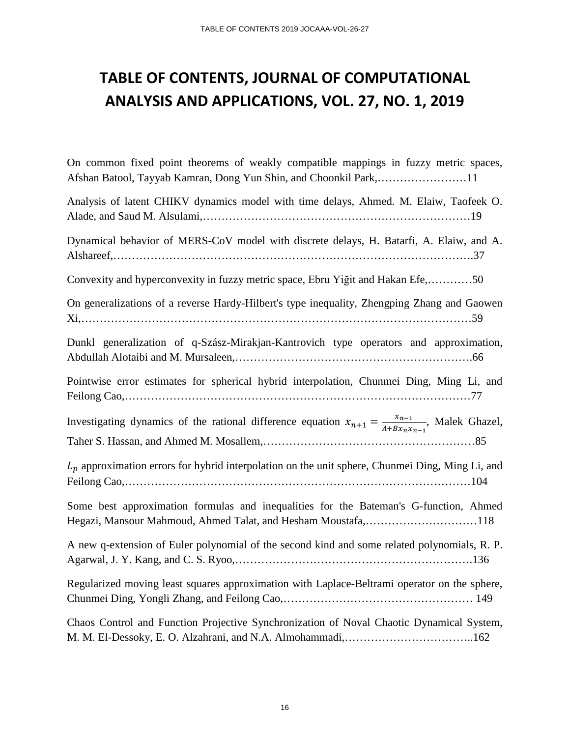#### **TABLE OF CONTENTS, JOURNAL OF COMPUTATIONAL ANALYSIS AND APPLICATIONS, VOL. 27, NO. 1, 2019**

On common fixed point theorems of weakly compatible mappings in fuzzy metric spaces, Afshan Batool, Tayyab Kamran, Dong Yun Shin, and Choonkil Park,……………………11

Analysis of latent CHIKV dynamics model with time delays, Ahmed. M. Elaiw, Taofeek O. Alade, and Saud M. Alsulami,………………………………………………………………19 Dynamical behavior of MERS-CoV model with discrete delays, H. Batarfi, A. Elaiw, and A. Alshareef,…………………………………………………………………………………….37 Convexity and hyperconvexity in fuzzy metric space, Ebru Yiğit and Hakan Efe,…………50 On generalizations of a reverse Hardy-Hilbert's type inequality, Zhengping Zhang and Gaowen Xi,……………………………………………………………………………………………59 Dunkl generalization of q-Szász-Mirakjan-Kantrovich type operators and approximation, Abdullah Alotaibi and M. Mursaleen,……………………………………………………….66 Pointwise error estimates for spherical hybrid interpolation, Chunmei Ding, Ming Li, and Feilong Cao,…………………………………………………………………………………77 Investigating dynamics of the rational difference equation  $x_{n+1} = \frac{x_{n-1}}{A+Bx_nx_{n-1}}$ , Malek Ghazel, Taher S. Hassan, and Ahmed M. Mosallem,…………………………………………………85  $L<sub>p</sub>$  approximation errors for hybrid interpolation on the unit sphere, Chunmei Ding, Ming Li, and Feilong Cao,…………………………………………………………………………………104 Some best approximation formulas and inequalities for the Bateman's G-function, Ahmed Hegazi, Mansour Mahmoud, Ahmed Talat, and Hesham Moustafa,…………………………118 A new q-extension of Euler polynomial of the second kind and some related polynomials, R. P. Agarwal, J. Y. Kang, and C. S. Ryoo,……………………………………………………….136 Regularized moving least squares approximation with Laplace-Beltrami operator on the sphere, Chunmei Ding, Yongli Zhang, and Feilong Cao,…………………………………………… 149 Chaos Control and Function Projective Synchronization of Noval Chaotic Dynamical System, M. M. El-Dessoky, E. O. Alzahrani, and N.A. Almohammadi,……………………………..162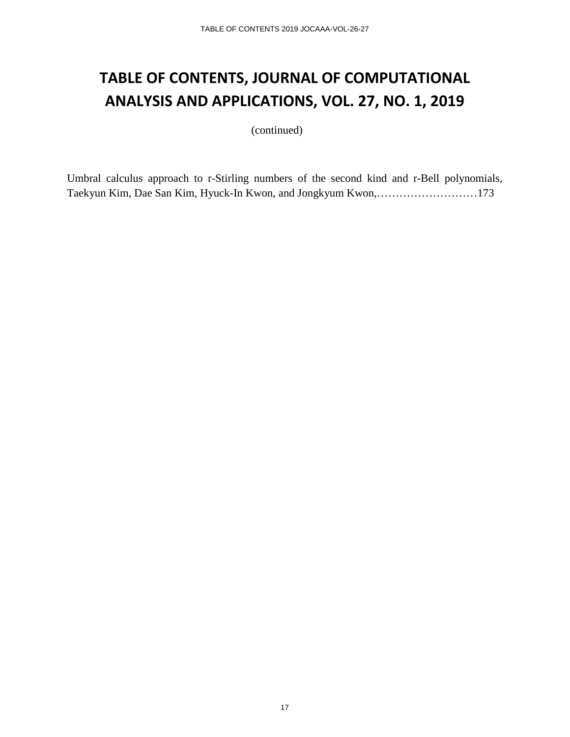#### **TABLE OF CONTENTS, JOURNAL OF COMPUTATIONAL ANALYSIS AND APPLICATIONS, VOL. 27, NO. 1, 2019**

(continued)

Umbral calculus approach to r-Stirling numbers of the second kind and r-Bell polynomials, Taekyun Kim, Dae San Kim, Hyuck-In Kwon, and Jongkyum Kwon,………………………173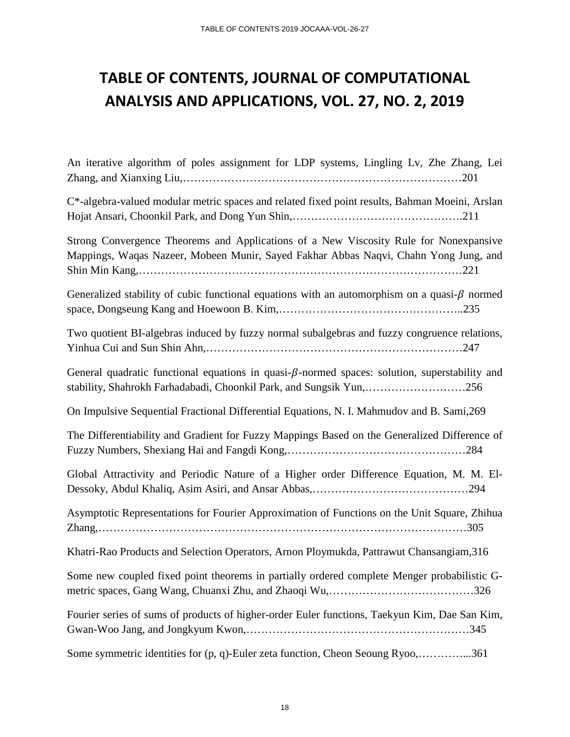# **TABLE OF CONTENTS, JOURNAL OF COMPUTATIONAL ANALYSIS AND APPLICATIONS, VOL. 27, NO. 2, 2019**

| An iterative algorithm of poles assignment for LDP systems, Lingling Lv, Zhe Zhang, Lei                                                                                       |
|-------------------------------------------------------------------------------------------------------------------------------------------------------------------------------|
| C*-algebra-valued modular metric spaces and related fixed point results, Bahman Moeini, Arslan                                                                                |
| Strong Convergence Theorems and Applications of a New Viscosity Rule for Nonexpansive<br>Mappings, Waqas Nazeer, Mobeen Munir, Sayed Fakhar Abbas Naqvi, Chahn Yong Jung, and |
| Generalized stability of cubic functional equations with an automorphism on a quasi- $\beta$ normed                                                                           |
| Two quotient BI-algebras induced by fuzzy normal subalgebras and fuzzy congruence relations,                                                                                  |
| General quadratic functional equations in quasi- $\beta$ -normed spaces: solution, superstability and<br>stability, Shahrokh Farhadabadi, Choonkil Park, and Sungsik Yun, 256 |
| On Impulsive Sequential Fractional Differential Equations, N. I. Mahmudov and B. Sami, 269                                                                                    |
| The Differentiability and Gradient for Fuzzy Mappings Based on the Generalized Difference of                                                                                  |
| Global Attractivity and Periodic Nature of a Higher order Difference Equation, M. M. El-                                                                                      |
| Asymptotic Representations for Fourier Approximation of Functions on the Unit Square, Zhihua                                                                                  |
| Khatri-Rao Products and Selection Operators, Arnon Ploymukda, Pattrawut Chansangiam, 316                                                                                      |
| Some new coupled fixed point theorems in partially ordered complete Menger probabilistic G-                                                                                   |
| Fourier series of sums of products of higher-order Euler functions, Taekyun Kim, Dae San Kim,                                                                                 |
| Some symmetric identities for (p, q)-Euler zeta function, Cheon Seoung Ryoo,361                                                                                               |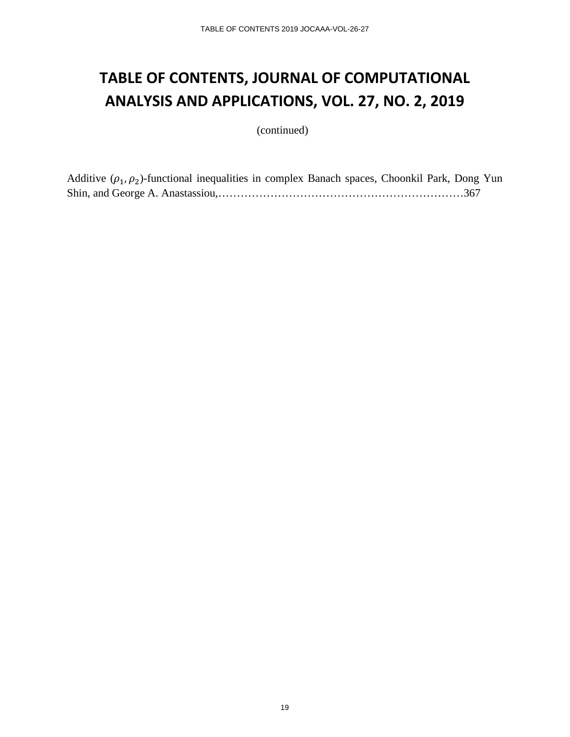### **TABLE OF CONTENTS, JOURNAL OF COMPUTATIONAL ANALYSIS AND APPLICATIONS, VOL. 27, NO. 2, 2019**

(continued)

Additive  $(\rho_1, \rho_2)$ -functional inequalities in complex Banach spaces, Choonkil Park, Dong Yun Shin, and George A. Anastassiou,…………………………………………………………367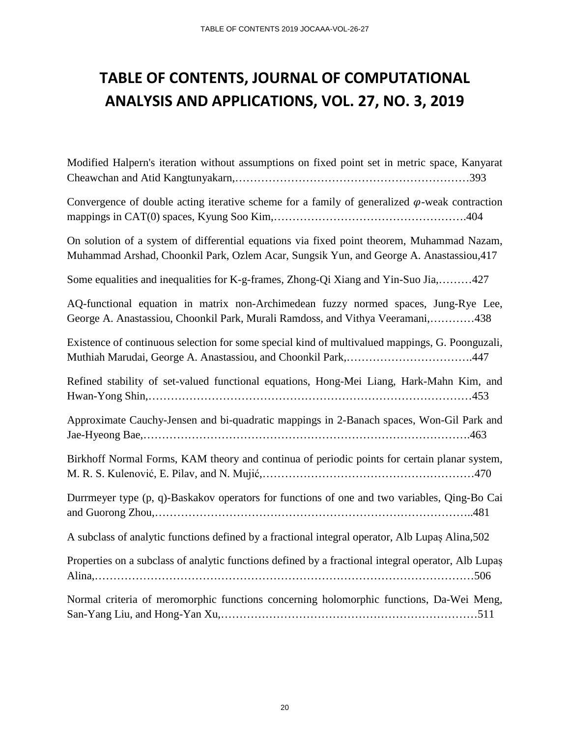### **TABLE OF CONTENTS, JOURNAL OF COMPUTATIONAL ANALYSIS AND APPLICATIONS, VOL. 27, NO. 3, 2019**

Modified Halpern's iteration without assumptions on fixed point set in metric space, Kanyarat Cheawchan and Atid Kangtunyakarn,………………………………………………………393

Convergence of double acting iterative scheme for a family of generalized  $\varphi$ -weak contraction mappings in CAT(0) spaces, Kyung Soo Kim,…………………………………………….404

On solution of a system of differential equations via fixed point theorem, Muhammad Nazam, Muhammad Arshad, Choonkil Park, Ozlem Acar, Sungsik Yun, and George A. Anastassiou,417

Some equalities and inequalities for K-g-frames, Zhong-Qi Xiang and Yin-Suo Jia,………427

AQ-functional equation in matrix non-Archimedean fuzzy normed spaces, Jung-Rye Lee, George A. Anastassiou, Choonkil Park, Murali Ramdoss, and Vithya Veeramani,…………438

Existence of continuous selection for some special kind of multivalued mappings, G. Poonguzali, Muthiah Marudai, George A. Anastassiou, and Choonkil Park,…………………………….447

Refined stability of set-valued functional equations, Hong-Mei Liang, Hark-Mahn Kim, and Hwan-Yong Shin,……………………………………………………………………………453

Approximate Cauchy-Jensen and bi-quadratic mappings in 2-Banach spaces, Won-Gil Park and Jae-Hyeong Bae,…………………………………………………………………………….463

Birkhoff Normal Forms, KAM theory and continua of periodic points for certain planar system, M. R. S. Kulenović, E. Pilav, and N. Mujić,…………………………………………………470

Durrmeyer type (p, q)-Baskakov operators for functions of one and two variables, Qing-Bo Cai and Guorong Zhou,…………………………………………………………………………..481

A subclass of analytic functions defined by a fractional integral operator, Alb Lupaș Alina,502

Properties on a subclass of analytic functions defined by a fractional integral operator, Alb Lupaș Alina,…………………………………………………………………………………………506

Normal criteria of meromorphic functions concerning holomorphic functions, Da-Wei Meng, San-Yang Liu, and Hong-Yan Xu,……………………………………………………………511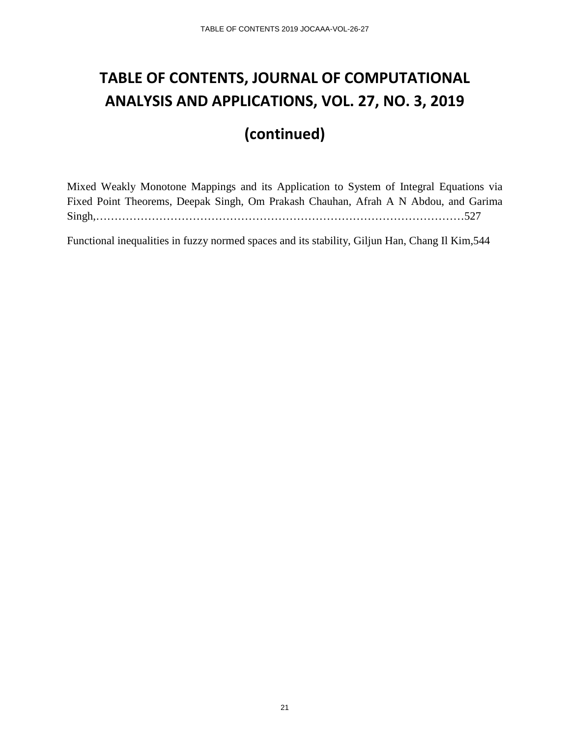## **TABLE OF CONTENTS, JOURNAL OF COMPUTATIONAL ANALYSIS AND APPLICATIONS, VOL. 27, NO. 3, 2019**

#### **(continued)**

Mixed Weakly Monotone Mappings and its Application to System of Integral Equations via Fixed Point Theorems, Deepak Singh, Om Prakash Chauhan, Afrah A N Abdou, and Garima Singh,………………………………………………………………………………………527

Functional inequalities in fuzzy normed spaces and its stability, Giljun Han, Chang Il Kim,544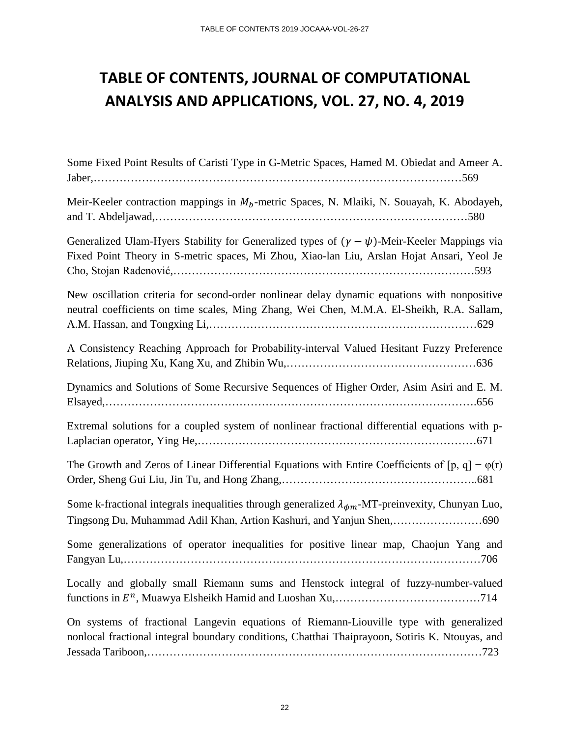# **TABLE OF CONTENTS, JOURNAL OF COMPUTATIONAL ANALYSIS AND APPLICATIONS, VOL. 27, NO. 4, 2019**

| Some Fixed Point Results of Caristi Type in G-Metric Spaces, Hamed M. Obiedat and Ameer A.                                                                                                          |
|-----------------------------------------------------------------------------------------------------------------------------------------------------------------------------------------------------|
| Meir-Keeler contraction mappings in $M_b$ -metric Spaces, N. Mlaiki, N. Souayah, K. Abodayeh,                                                                                                       |
| Generalized Ulam-Hyers Stability for Generalized types of $(\gamma - \psi)$ -Meir-Keeler Mappings via<br>Fixed Point Theory in S-metric spaces, Mi Zhou, Xiao-lan Liu, Arslan Hojat Ansari, Yeol Je |
| New oscillation criteria for second-order nonlinear delay dynamic equations with nonpositive<br>neutral coefficients on time scales, Ming Zhang, Wei Chen, M.M.A. El-Sheikh, R.A. Sallam,           |
| A Consistency Reaching Approach for Probability-interval Valued Hesitant Fuzzy Preference                                                                                                           |
| Dynamics and Solutions of Some Recursive Sequences of Higher Order, Asim Asiri and E. M.                                                                                                            |
| Extremal solutions for a coupled system of nonlinear fractional differential equations with p-                                                                                                      |
| The Growth and Zeros of Linear Differential Equations with Entire Coefficients of $[p, q] - \varphi(r)$                                                                                             |
| Some k-fractional integrals inequalities through generalized $\lambda_{\phi m}$ -MT-preinvexity, Chunyan Luo,<br>Tingsong Du, Muhammad Adil Khan, Artion Kashuri, and Yanjun Shen,690               |
| Some generalizations of operator inequalities for positive linear map, Chaojun Yang and                                                                                                             |
| Locally and globally small Riemann sums and Henstock integral of fuzzy-number-valued                                                                                                                |
| On systems of fractional Langevin equations of Riemann-Liouville type with generalized<br>nonlocal fractional integral boundary conditions, Chatthai Thaiprayoon, Sotiris K. Ntouyas, and           |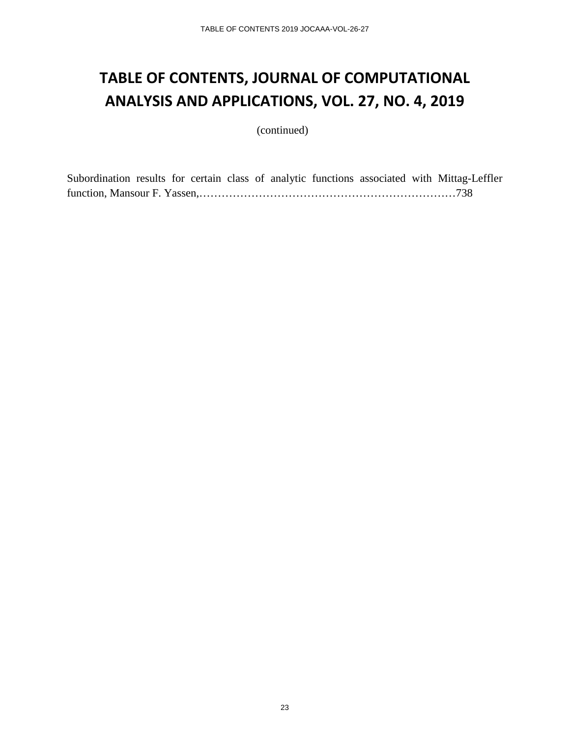#### **TABLE OF CONTENTS, JOURNAL OF COMPUTATIONAL ANALYSIS AND APPLICATIONS, VOL. 27, NO. 4, 2019**

(continued)

Subordination results for certain class of analytic functions associated with Mittag-Leffler function, Mansour F. Yassen,……………………………………………………………738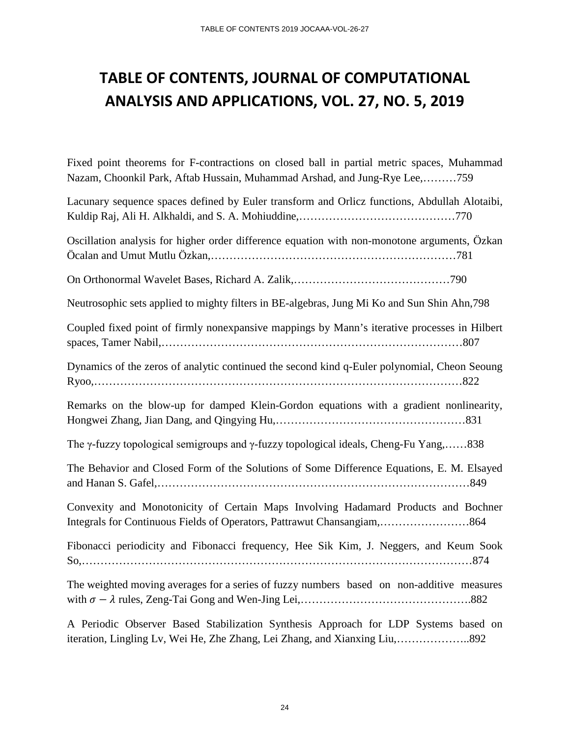### **TABLE OF CONTENTS, JOURNAL OF COMPUTATIONAL ANALYSIS AND APPLICATIONS, VOL. 27, NO. 5, 2019**

Fixed point theorems for F-contractions on closed ball in partial metric spaces, Muhammad Nazam, Choonkil Park, Aftab Hussain, Muhammad Arshad, and Jung-Rye Lee,………759

| Lacunary sequence spaces defined by Euler transform and Orlicz functions, Abdullah Alotaibi,         |
|------------------------------------------------------------------------------------------------------|
| Oscillation analysis for higher order difference equation with non-monotone arguments, Özkan         |
|                                                                                                      |
| Neutrosophic sets applied to mighty filters in BE-algebras, Jung Mi Ko and Sun Shin Ahn, 798         |
| Coupled fixed point of firmly nonexpansive mappings by Mann's iterative processes in Hilbert         |
| Dynamics of the zeros of analytic continued the second kind q-Euler polynomial, Cheon Seoung         |
| Remarks on the blow-up for damped Klein-Gordon equations with a gradient nonlinearity,               |
| The $\gamma$ -fuzzy topological semigroups and $\gamma$ -fuzzy topological ideals, Cheng-Fu Yang,838 |
| The Behavior and Closed Form of the Solutions of Some Difference Equations, E. M. Elsayed            |
| Convexity and Monotonicity of Certain Maps Involving Hadamard Products and Bochner                   |
| Fibonacci periodicity and Fibonacci frequency, Hee Sik Kim, J. Neggers, and Keum Sook                |
| The weighted moving averages for a series of fuzzy numbers based on non-additive measures            |
| A Deviatio Observer Based Stebilization Synthesis Approach for IDD Systems based on                  |

A Periodic Observer Based Stabilization Synthesis Approach for LDP Systems based on iteration, Lingling Lv, Wei He, Zhe Zhang, Lei Zhang, and Xianxing Liu,………………..892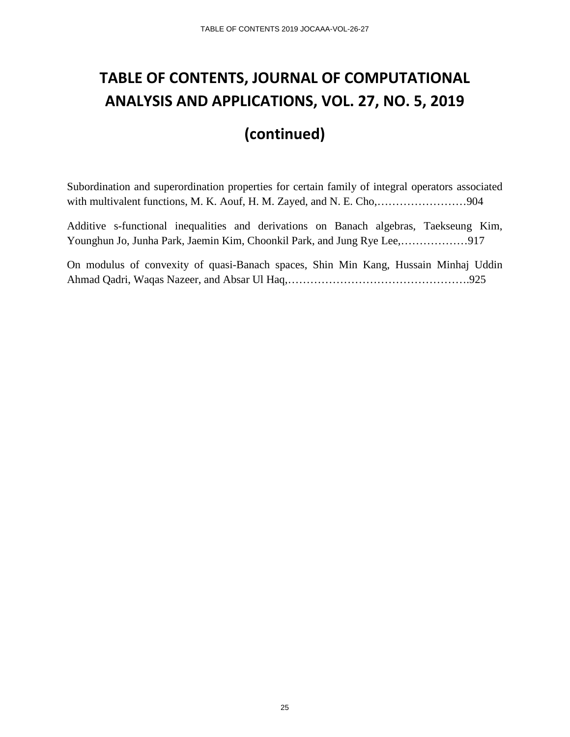### **TABLE OF CONTENTS, JOURNAL OF COMPUTATIONAL ANALYSIS AND APPLICATIONS, VOL. 27, NO. 5, 2019**

#### **(continued)**

Subordination and superordination properties for certain family of integral operators associated with multivalent functions, M. K. Aouf, H. M. Zayed, and N. E. Cho,……………………904

Additive s-functional inequalities and derivations on Banach algebras, Taekseung Kim, Younghun Jo, Junha Park, Jaemin Kim, Choonkil Park, and Jung Rye Lee,………………917

On modulus of convexity of quasi-Banach spaces, Shin Min Kang, Hussain Minhaj Uddin Ahmad Qadri, Waqas Nazeer, and Absar Ul Haq,………………………………………….925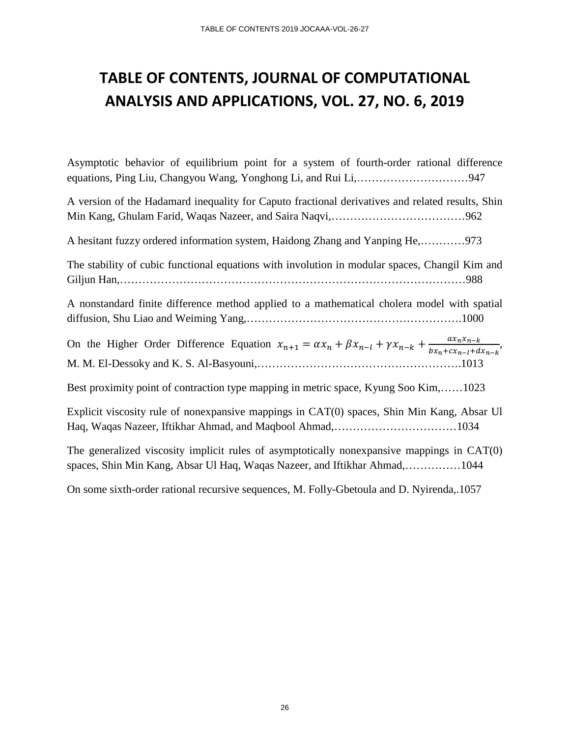#### **TABLE OF CONTENTS, JOURNAL OF COMPUTATIONAL ANALYSIS AND APPLICATIONS, VOL. 27, NO. 6, 2019**

Asymptotic behavior of equilibrium point for a system of fourth-order rational difference equations, Ping Liu, Changyou Wang, Yonghong Li, and Rui Li,…………………………947 A version of the Hadamard inequality for Caputo fractional derivatives and related results, Shin Min Kang, Ghulam Farid, Waqas Nazeer, and Saira Naqvi,………………………………962 A hesitant fuzzy ordered information system, Haidong Zhang and Yanping He,…………973 The stability of cubic functional equations with involution in modular spaces, Changil Kim and Giljun Han,…………………………………………………………………………………988 A nonstandard finite difference method applied to a mathematical cholera model with spatial diffusion, Shu Liao and Weiming Yang,………………………………………………….1000 On the Higher Order Difference Equation  $x_{n+1} = \alpha x_n + \beta x_{n-l} + \gamma x_{n-k} + \frac{\alpha x_n x_{n-k}}{bx_n + cx_{n-l} + dx_{n-k}}$ , M. M. El-Dessoky and K. S. Al-Basyouni,……………………………………………….1013 Best proximity point of contraction type mapping in metric space, Kyung Soo Kim,……1023 Explicit viscosity rule of nonexpansive mappings in CAT(0) spaces, Shin Min Kang, Absar Ul Haq, Waqas Nazeer, Iftikhar Ahmad, and Maqbool Ahmad,……………………………1034 The generalized viscosity implicit rules of asymptotically nonexpansive mappings in CAT(0) spaces, Shin Min Kang, Absar Ul Haq, Waqas Nazeer, and Iftikhar Ahmad,……………1044

On some sixth-order rational recursive sequences, M. Folly-Gbetoula and D. Nyirenda,.1057